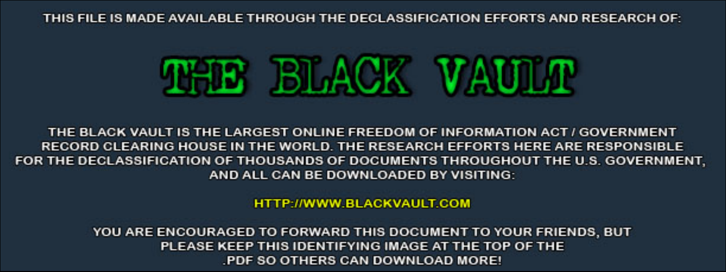THIS FILE IS MADE AVAILABLE THROUGH THE DECLASSIFICATION EFFORTS AND RESEARCH OF:



THE BLACK VAULT IS THE LARGEST ONLINE FREEDOM OF INFORMATION ACT / GOVERNMENT RECORD CLEARING HOUSE IN THE WORLD. THE RESEARCH EFFORTS HERE ARE RESPONSIBLE FOR THE DECLASSIFICATION OF THOUSANDS OF DOCUMENTS THROUGHOUT THE U.S. GOVERNMENT, AND ALL CAN BE DOWNLOADED BY VISITING:

**HTTP://WWW.BLACKVAULT.COM** 

YOU ARE ENCOURAGED TO FORWARD THIS DOCUMENT TO YOUR FRIENDS, BUT PLEASE KEEP THIS IDENTIFYING IMAGE AT THE TOP OF THE PDF SO OTHERS CAN DOWNLOAD MORE!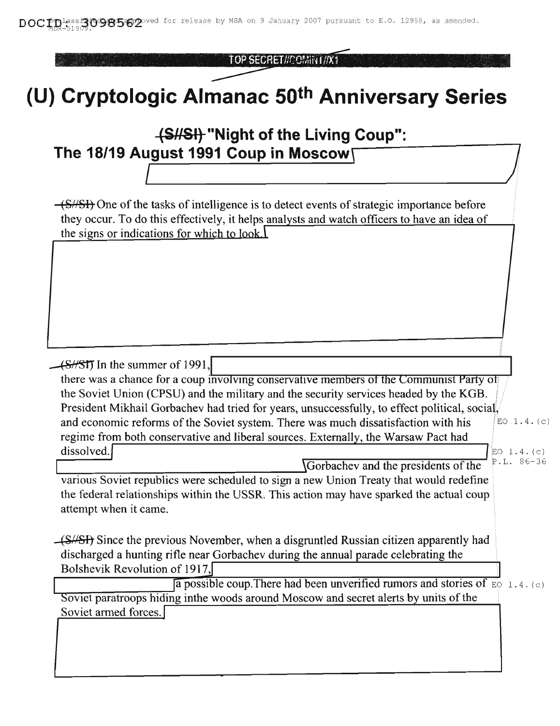TOP SECRET//COMINI//X1

## (U) Cryptologic Almanac 50<sup>th</sup> Anniversary Series

## 48/8/13 "Night of the Living Coup": The 18/19 August 1991 Coup in Moscow! (S/SH) One of the tasks of intelligence is to detect events of strategic importance before they occur. To do this effectively, it helps analysts and watch officers to have an idea of the signs or indications for which to look. (SHST) In the summer of 1991, there was a chance for a coup involving conservative members of the Communist Party of the Soviet Union (CPSU) and the military and the security services headed by the KGB. President Mikhail Gorbachev had tried for years, unsuccessfully, to effect political, social, and economic reforms of the Soviet system. There was much dissatisfaction with his EO  $1.4.(c)$ regime from both conservative and liberal sources. Externally, the Warsaw Pact had dissolved.  $EO 1.4. (c)$ P.L. 86-36 Gorbachev and the presidents of the various Soviet republics were scheduled to sign a new Union Treaty that would redefine the federal relationships within the USSR. This action may have sparked the actual coup attempt when it came. (S//SI) Since the previous November, when a disgruntled Russian citizen apparently had discharged a hunting rifle near Gorbachev during the annual parade celebrating the Bolshevik Revolution of 1917, a possible coup. There had been unverified rumors and stories of  $\overline{\epsilon}$  1.4. (c) Soviet paratroops hiding in the woods around Moscow and secret alerts by units of the Soviet armed forces.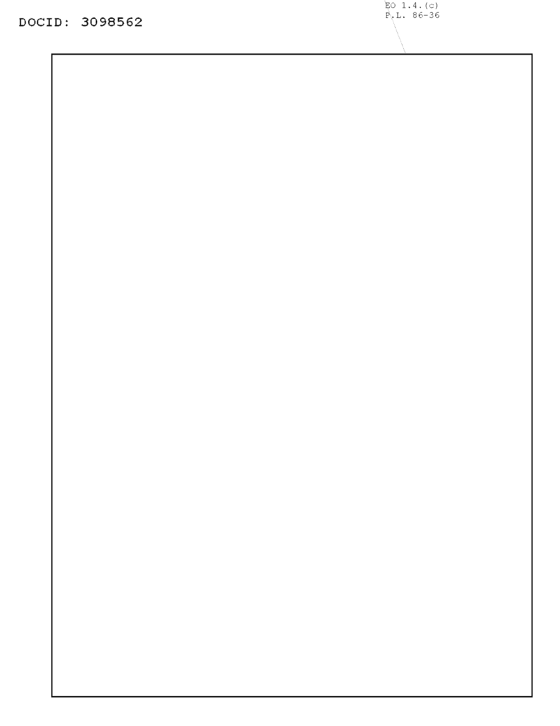**DOCID: 3098562**

 $EO$  1.4. (c)  $P L. 86-36$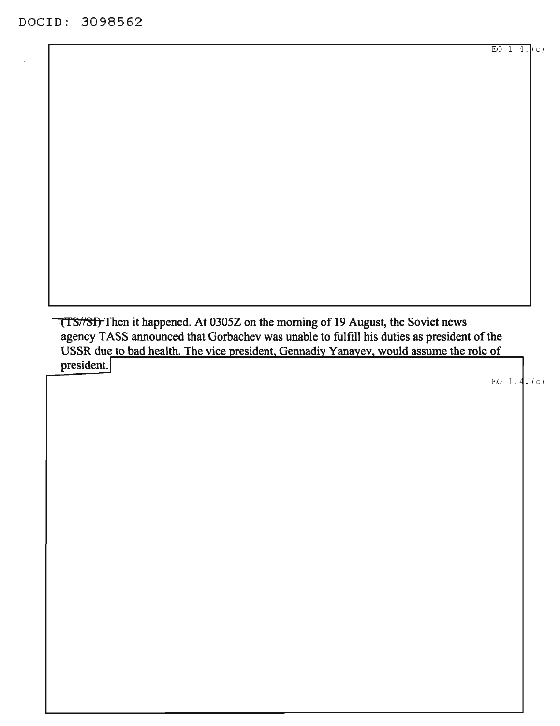(TS//SI) Then it happened. At 0305Z on the morning of 19 August, the Soviet news agency TASS announced that Gorbachev was unable to fulfill his duties as president of the USSR due to bad health. The vice president, Gennadiy Yanayev, would assume the role of president.

EO  $1.4.$  (c)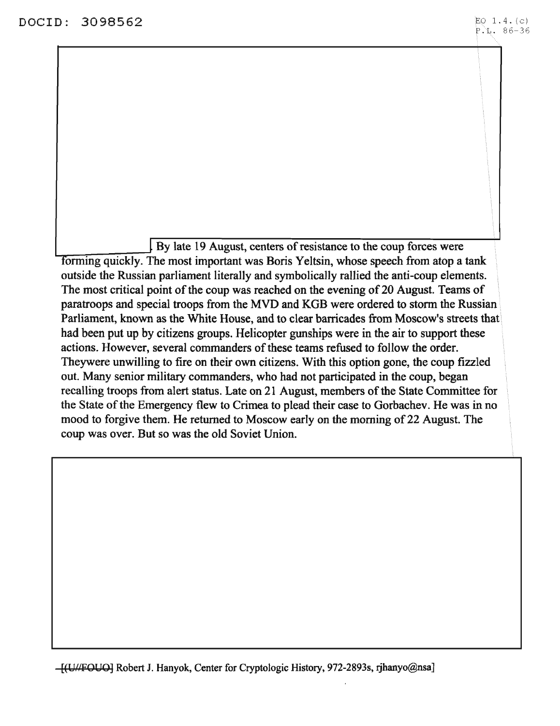$\vert$  By late 19 August, centers of resistance to the coup forces were forming quickly. The most important was Boris Yeltsin, whose speech from atop a tank outside the Russian parliament literally and symbolically rallied the anti-coup elements. The most critical point of the coup was reached on the evening of 20 August. Teams of paratroops and special troops from the MVD and KGB were ordered to storm the Russian Parliament, known as the White House, and to clear barricades from Moscow's streets that had been put up by citizens groups. Helicopter gunships were in the air to support these actions. However, several commanders of these teams refused to follow the order. Theywere unwilling to fire on their own citizens. With this option gone, the coup fizzled out. Many senior military commanders, who had not participated in the coup, began recalling troops from alert status. Late on 21 August, members of the State Committee for the State of the Emergency flew to Crimea to plead their case to Gorbachev. He was in no mood to forgive them. He returned to Moscow early on the morning of 22 August. The coup was over. But so was the old Soviet Union.